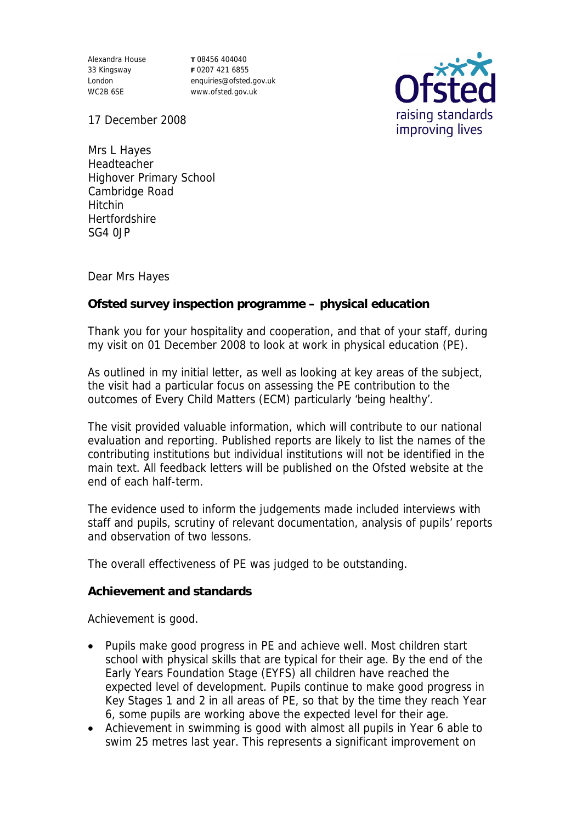Alexandra House 33 Kingsway London WC2B 6SE

**T** 08456 404040 **F** 0207 421 6855 enquiries@ofsted.gov.uk www.ofsted.gov.uk



17 December 2008

Mrs L Hayes Headteacher Highover Primary School Cambridge Road Hitchin **Hertfordshire** SG4 0JP

Dear Mrs Hayes

**Ofsted survey inspection programme – physical education**

Thank you for your hospitality and cooperation, and that of your staff, during my visit on 01 December 2008 to look at work in physical education (PE).

As outlined in my initial letter, as well as looking at key areas of the subject, the visit had a particular focus on assessing the PE contribution to the outcomes of Every Child Matters (ECM) particularly 'being healthy'.

The visit provided valuable information, which will contribute to our national evaluation and reporting. Published reports are likely to list the names of the contributing institutions but individual institutions will not be identified in the main text. All feedback letters will be published on the Ofsted website at the end of each half-term.

The evidence used to inform the judgements made included interviews with staff and pupils, scrutiny of relevant documentation, analysis of pupils' reports and observation of two lessons.

The overall effectiveness of PE was judged to be outstanding.

**Achievement and standards** 

Achievement is good.

- Pupils make good progress in PE and achieve well. Most children start school with physical skills that are typical for their age. By the end of the Early Years Foundation Stage (EYFS) all children have reached the expected level of development. Pupils continue to make good progress in Key Stages 1 and 2 in all areas of PE, so that by the time they reach Year 6, some pupils are working above the expected level for their age.
- Achievement in swimming is good with almost all pupils in Year 6 able to swim 25 metres last year. This represents a significant improvement on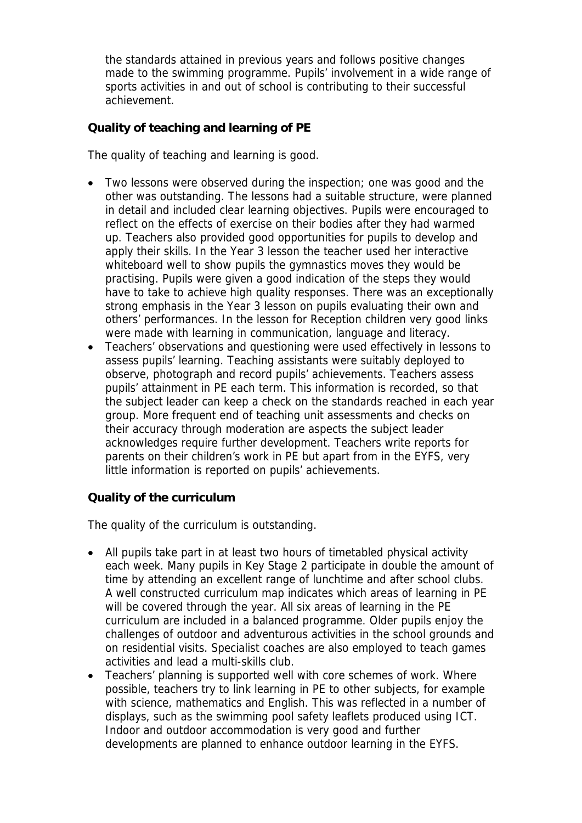the standards attained in previous years and follows positive changes made to the swimming programme. Pupils' involvement in a wide range of sports activities in and out of school is contributing to their successful achievement.

**Quality of teaching and learning of PE**

The quality of teaching and learning is good.

- Two lessons were observed during the inspection; one was good and the other was outstanding. The lessons had a suitable structure, were planned in detail and included clear learning objectives. Pupils were encouraged to reflect on the effects of exercise on their bodies after they had warmed up. Teachers also provided good opportunities for pupils to develop and apply their skills. In the Year 3 lesson the teacher used her interactive whiteboard well to show pupils the gymnastics moves they would be practising. Pupils were given a good indication of the steps they would have to take to achieve high quality responses. There was an exceptionally strong emphasis in the Year 3 lesson on pupils evaluating their own and others' performances. In the lesson for Reception children very good links were made with learning in communication, language and literacy.
- Teachers' observations and questioning were used effectively in lessons to assess pupils' learning. Teaching assistants were suitably deployed to observe, photograph and record pupils' achievements. Teachers assess pupils' attainment in PE each term. This information is recorded, so that the subject leader can keep a check on the standards reached in each year group. More frequent end of teaching unit assessments and checks on their accuracy through moderation are aspects the subject leader acknowledges require further development. Teachers write reports for parents on their children's work in PE but apart from in the EYFS, very little information is reported on pupils' achievements.

**Quality of the curriculum** 

The quality of the curriculum is outstanding.

- All pupils take part in at least two hours of timetabled physical activity each week. Many pupils in Key Stage 2 participate in double the amount of time by attending an excellent range of lunchtime and after school clubs. A well constructed curriculum map indicates which areas of learning in PE will be covered through the year. All six areas of learning in the PE curriculum are included in a balanced programme. Older pupils enjoy the challenges of outdoor and adventurous activities in the school grounds and on residential visits. Specialist coaches are also employed to teach games activities and lead a multi-skills club.
- Teachers' planning is supported well with core schemes of work. Where possible, teachers try to link learning in PE to other subjects, for example with science, mathematics and English. This was reflected in a number of displays, such as the swimming pool safety leaflets produced using ICT. Indoor and outdoor accommodation is very good and further developments are planned to enhance outdoor learning in the EYFS.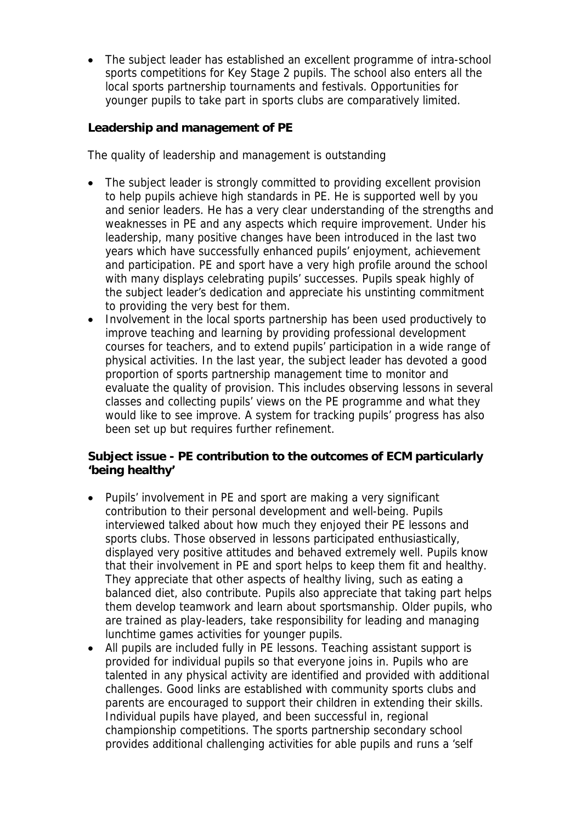The subject leader has established an excellent programme of intra-school sports competitions for Key Stage 2 pupils. The school also enters all the local sports partnership tournaments and festivals. Opportunities for younger pupils to take part in sports clubs are comparatively limited.

**Leadership and management of PE**

The quality of leadership and management is outstanding

- The subject leader is strongly committed to providing excellent provision to help pupils achieve high standards in PE. He is supported well by you and senior leaders. He has a very clear understanding of the strengths and weaknesses in PE and any aspects which require improvement. Under his leadership, many positive changes have been introduced in the last two years which have successfully enhanced pupils' enjoyment, achievement and participation. PE and sport have a very high profile around the school with many displays celebrating pupils' successes. Pupils speak highly of the subject leader's dedication and appreciate his unstinting commitment to providing the very best for them.
- Involvement in the local sports partnership has been used productively to improve teaching and learning by providing professional development courses for teachers, and to extend pupils' participation in a wide range of physical activities. In the last year, the subject leader has devoted a good proportion of sports partnership management time to monitor and evaluate the quality of provision. This includes observing lessons in several classes and collecting pupils' views on the PE programme and what they would like to see improve. A system for tracking pupils' progress has also been set up but requires further refinement.

**Subject issue - PE contribution to the outcomes of ECM particularly 'being healthy'**

- Pupils' involvement in PE and sport are making a very significant contribution to their personal development and well-being. Pupils interviewed talked about how much they enjoyed their PE lessons and sports clubs. Those observed in lessons participated enthusiastically, displayed very positive attitudes and behaved extremely well. Pupils know that their involvement in PE and sport helps to keep them fit and healthy. They appreciate that other aspects of healthy living, such as eating a balanced diet, also contribute. Pupils also appreciate that taking part helps them develop teamwork and learn about sportsmanship. Older pupils, who are trained as play-leaders, take responsibility for leading and managing lunchtime games activities for younger pupils.
- All pupils are included fully in PE lessons. Teaching assistant support is provided for individual pupils so that everyone joins in. Pupils who are talented in any physical activity are identified and provided with additional challenges. Good links are established with community sports clubs and parents are encouraged to support their children in extending their skills. Individual pupils have played, and been successful in, regional championship competitions. The sports partnership secondary school provides additional challenging activities for able pupils and runs a 'self